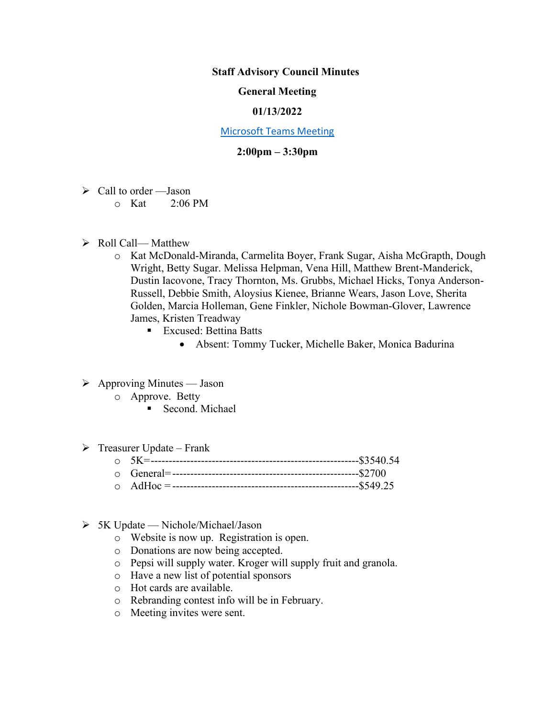# **Staff Advisory Council Minutes**

# **General Meeting**

### **01/13/2022**

#### [Microsoft Teams Meeting](https://nam05.safelinks.protection.outlook.com/ap/t-59584e83/?url=https%3A%2F%2Fteams.microsoft.com%2Fl%2Fmeetup-join%2F19%253ameeting_MzkxMmQzZTYtNGNiMi00YTJjLWI3MTMtOTlhMmNmOTE4Zjhj%2540thread.v2%2F0%3Fcontext%3D%257b%2522Tid%2522%253a%252260a9d377-c827-41a1-bbf0-1aad34db4c89%2522%252c%2522Oid%2522%253a%2522d493b17b-9cb3-43b8-b2df-d22f32aad747%2522%257d&data=02%7C01%7Cakienee1%40cscc.edu%7Cd9d721b99f4d408c215208d7647bc8db%7C60a9d377c82741a1bbf01aad34db4c89%7C0%7C0%7C637088355127916457&sdata=hlB7BeFFj4%2Fu5SHTbph%2BpYbfXevGFZ5zd4DxSsQlyzY%3D&reserved=0)

# **2:00pm – 3:30pm**

- $\triangleright$  Call to order Jason
	- $\circ$  Kat 2:06 PM
- ➢ Roll Call— Matthew
	- o Kat McDonald-Miranda, Carmelita Boyer, Frank Sugar, Aisha McGrapth, Dough Wright, Betty Sugar. Melissa Helpman, Vena Hill, Matthew Brent-Manderick, Dustin Iacovone, Tracy Thornton, Ms. Grubbs, Michael Hicks, Tonya Anderson-Russell, Debbie Smith, Aloysius Kienee, Brianne Wears, Jason Love, Sherita Golden, Marcia Holleman, Gene Finkler, Nichole Bowman-Glover, Lawrence James, Kristen Treadway
		- Excused: Bettina Batts
			- Absent: Tommy Tucker, Michelle Baker, Monica Badurina
- $\triangleright$  Approving Minutes Jason
	- o Approve. Betty
		- Second. Michael
- $\triangleright$  Treasurer Update Frank
	- $\overline{5}K$ = $\overline{--}$  5K= $\overline{--}$  5540.54
	- o General=----------------------------------------------------\$2700
	- o AdHoc = ----------------------------------------------------\$549.25
- $> 5K$  Update Nichole/Michael/Jason
	- o Website is now up. Registration is open.
	- o Donations are now being accepted.
	- o Pepsi will supply water. Kroger will supply fruit and granola.
	- o Have a new list of potential sponsors
	- o Hot cards are available.
	- o Rebranding contest info will be in February.
	- o Meeting invites were sent.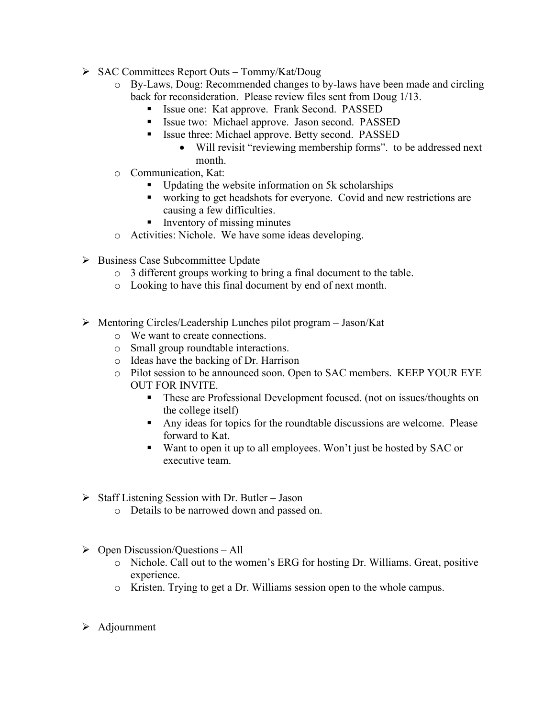- ➢ SAC Committees Report Outs Tommy/Kat/Doug
	- o By-Laws, Doug: Recommended changes to by-laws have been made and circling back for reconsideration. Please review files sent from Doug 1/13.
		- Issue one: Kat approve. Frank Second. PASSED
		- **Example 1** Issue two: Michael approve. Jason second. PASSED
		- **Exercise 1** Issue three: Michael approve. Betty second. PASSED
			- Will revisit "reviewing membership forms". to be addressed next month.
	- o Communication, Kat:
		- Updating the website information on 5k scholarships
		- working to get headshots for everyone. Covid and new restrictions are causing a few difficulties.
		- Inventory of missing minutes
	- o Activities: Nichole. We have some ideas developing.
- ➢ Business Case Subcommittee Update
	- o 3 different groups working to bring a final document to the table.
	- o Looking to have this final document by end of next month.
- ➢ Mentoring Circles/Leadership Lunches pilot program Jason/Kat
	- o We want to create connections.
	- o Small group roundtable interactions.
	- o Ideas have the backing of Dr. Harrison
	- o Pilot session to be announced soon. Open to SAC members. KEEP YOUR EYE OUT FOR INVITE.
		- **•** These are Professional Development focused. (not on issues/thoughts on the college itself)
		- Any ideas for topics for the roundtable discussions are welcome. Please forward to Kat.
		- Want to open it up to all employees. Won't just be hosted by SAC or executive team.
- $\triangleright$  Staff Listening Session with Dr. Butler Jason
	- o Details to be narrowed down and passed on.
- $\triangleright$  Open Discussion/Questions All
	- o Nichole. Call out to the women's ERG for hosting Dr. Williams. Great, positive experience.
	- o Kristen. Trying to get a Dr. Williams session open to the whole campus.
- ➢ Adjournment